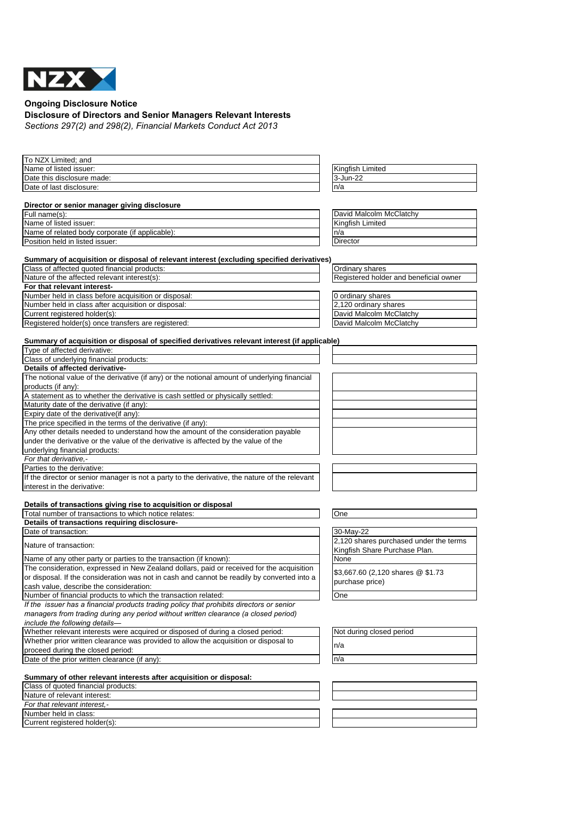

**Ongoing Disclosure Notice**

## **Disclosure of Directors and Senior Managers Relevant Interests**

*Sections 297(2) and 298(2), Financial Markets Conduct Act 2013*

| To NZX Limited; and                                                                            |                                        |
|------------------------------------------------------------------------------------------------|----------------------------------------|
| Name of listed issuer:                                                                         | Kingfish Limited                       |
| Date this disclosure made:                                                                     | 3-Jun-22                               |
| Date of last disclosure:                                                                       | n/a                                    |
|                                                                                                |                                        |
| Director or senior manager giving disclosure<br>Full name(s):                                  | David Malcolm McClatchy                |
| Name of listed issuer:                                                                         | Kingfish Limited                       |
| Name of related body corporate (if applicable):                                                | n/a                                    |
| Position held in listed issuer:                                                                | Director                               |
|                                                                                                |                                        |
| Summary of acquisition or disposal of relevant interest (excluding specified derivatives)      |                                        |
| Class of affected quoted financial products:                                                   | Ordinary shares                        |
| Nature of the affected relevant interest(s):                                                   | Registered holder and beneficial owner |
| For that relevant interest-                                                                    |                                        |
| Number held in class before acquisition or disposal:                                           | 0 ordinary shares                      |
| Number held in class after acquisition or disposal:                                            | 2,120 ordinary shares                  |
| Current registered holder(s):                                                                  | David Malcolm McClatchy                |
| Registered holder(s) once transfers are registered:                                            | David Malcolm McClatchy                |
|                                                                                                |                                        |
| Summary of acquisition or disposal of specified derivatives relevant interest (if applicable)  |                                        |
| Type of affected derivative:                                                                   |                                        |
| Class of underlying financial products:                                                        |                                        |
| Details of affected derivative-                                                                |                                        |
| The notional value of the derivative (if any) or the notional amount of underlying financial   |                                        |
| products (if any):                                                                             |                                        |
| A statement as to whether the derivative is cash settled or physically settled:                |                                        |
| Maturity date of the derivative (if any):                                                      |                                        |
| Expiry date of the derivative(if any):                                                         |                                        |
| The price specified in the terms of the derivative (if any):                                   |                                        |
| Any other details needed to understand how the amount of the consideration payable             |                                        |
| under the derivative or the value of the derivative is affected by the value of the            |                                        |
| underlying financial products:                                                                 |                                        |
| For that derivative,-                                                                          |                                        |
| Parties to the derivative:                                                                     |                                        |
| If the director or senior manager is not a party to the derivative, the nature of the relevant |                                        |
| interest in the derivative:                                                                    |                                        |
| Details of transactions giving rise to acquisition or disposal                                 |                                        |
| Total number of transactions to which notice relates:                                          | One                                    |
| Details of transactions requiring disclosure-                                                  |                                        |
| Date of transaction:                                                                           | 30-May-22                              |
|                                                                                                | 2,120 shares purchased under the terms |
| Nature of transaction:                                                                         | Kingfish Share Purchase Plan.          |
| Name of any other party or parties to the transaction (if known):                              | None                                   |
| The consideration, expressed in New Zealand dollars, paid or received for the acquisition      |                                        |
| or disposal. If the consideration was not in cash and cannot be readily by converted into a    | \$3,667.60 (2,120 shares @ \$1.73      |
| cash value, describe the consideration:                                                        | purchase price)                        |
| Number of financial products to which the transaction related:                                 | One                                    |
| If the issuer has a financial products trading policy that prohibits directors or senior       |                                        |
| managers from trading during any period without written clearance (a closed period)            |                                        |
| include the following details-                                                                 |                                        |
| Whether relevant interests were acquired or disposed of during a closed period:                | Not during closed period               |
| Whether prior written clearance was provided to allow the acquisition or disposal to           | n/a                                    |
| proceed during the closed period:                                                              |                                        |
| Date of the prior written clearance (if any):                                                  | n/a                                    |
|                                                                                                |                                        |
| Summary of other relevant interests after acquisition or disposal:                             |                                        |
| Class of quoted financial products:                                                            |                                        |
| Nature of relevant interest:                                                                   |                                        |
| For that relevant interest,-                                                                   |                                        |
| Number held in class:                                                                          |                                        |
| Current registered holder(s):                                                                  |                                        |